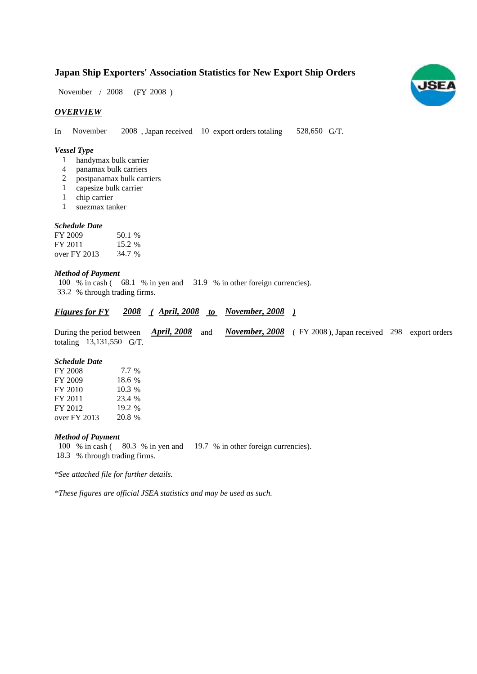# **Japan Ship Exporters' Association Statistics for New Export Ship Orders**

 $/ 2008$  (FY 2008) November / 2008

# *OVERVIEW*

In November 2008, Japan received 10 export orders totaling  $528,650$  G/T.

## *Vessel Type*

- handymax bulk carrier 1
- panamax bulk carriers 4
- postpanamax bulk carriers 2
- capesize bulk carrier 1
- chip carrier 1
- suezmax tanker 1

## *Schedule Date*

| FY 2009      | 50.1 % |
|--------------|--------|
| FY 2011      | 15.2 % |
| over FY 2013 | 34.7 % |

## *Method of Payment*

100 % in cash (68.1 % in yen and 31.9 % in other foreign currencies). % through trading firms. 33.2

# *Figures for FY* 2008 (April, 2008 to November, 2008)

During the period between *April, 2008* and *November, 2008* (FY 2008), Japan received 298 export orders totaling 13,131,550 G/T.

#### *Schedule Date*

| FY 2008      | 7.7 %    |
|--------------|----------|
| FY 2009      | 18.6 %   |
| FY 2010      | $10.3\%$ |
| FY 2011      | 23.4 %   |
| FY 2012      | 19.2 %   |
| over FY 2013 | 20.8 %   |

## *Method of Payment*

100 % in cash (80.3 % in yen and 19.7 % in other foreign currencies). % through trading firms. 18.3

*\*See attached file for further details.*

*\*These figures are official JSEA statistics and may be used as such.*

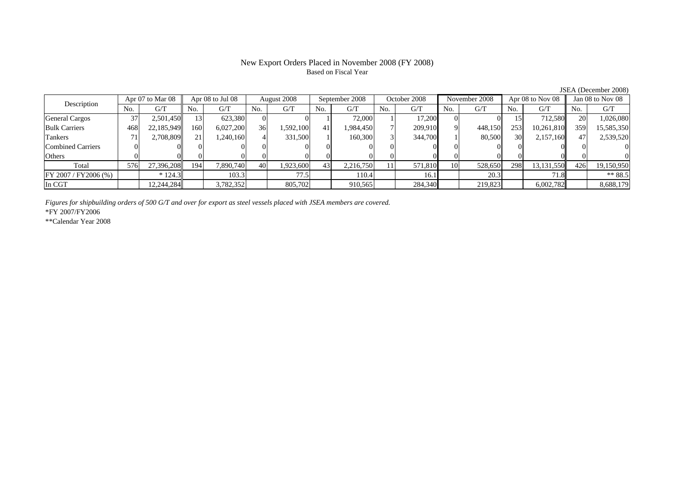## New Export Orders Placed in November 2008 (FY 2008) Based on Fiscal Year

No. G/T No. G/T No. G/T No. G/T No. G/T No. G/T No. G/T No. G/TGeneral Cargos ( 37 2,501,450 13 623,380 0 0 1 72,000 1 17,200 0 0 15 712,580 20 1,026,080 Bulk Carriers | 468| 22,185,949|| 160| 6,027,200| 36| 1,592,100| 41| 1,984,450| 7| 209,910| 9| 448,150| 253| 10,261,810|| 359| 15,585,350 Tankers | 71| 2,708,809|| 21| 1,240,160| 4| 331,500| 1| 160,300| 3| 344,700| 1| 80,500| 30| 2,157,160|| 47| 2,539,520 Combined Carriers 0 0 0 0 0 0 0 0 0 0 0 0 0 0 0 0Others | 0 | 0 | 0 | 0 | 0 | 0 | 0 | 0 | 0 | 0 | 0 |  $\mathbf{0}$ Total 576 27,396,208 194 7,890,740 40 1,923,600 43 2,216,750 11 571,810 10 528,650 298 13,131,550 426 19,150,950  $\boxed{\text{FY 2007/FY2006 } (\%) }$  \* 124.3 103.3 77.5 104 104 16.1 20.3 71.8 \*\* 88.5 In CGT | | 12,244,284| | 3,782,352| | 805,702| | 910,565| | 284,340| | 219,823| | 6,002,782|| | 8,688,179 Apr 08 to Jul 08 August 2008 September 2008 Description Apr 07 to Mar 08 Apr 08 to Jul 08 August 2008 September 2008 October 2008 November 2008 Apr 08 to Nov 08 Jan 08 to Nov 08

*Figures for shipbuilding orders of 500 G/T and over for export as steel vessels placed with JSEA members are covered.*

\*FY 2007/FY2006

\*\*Calendar Year 2008

JSEA (December 2008)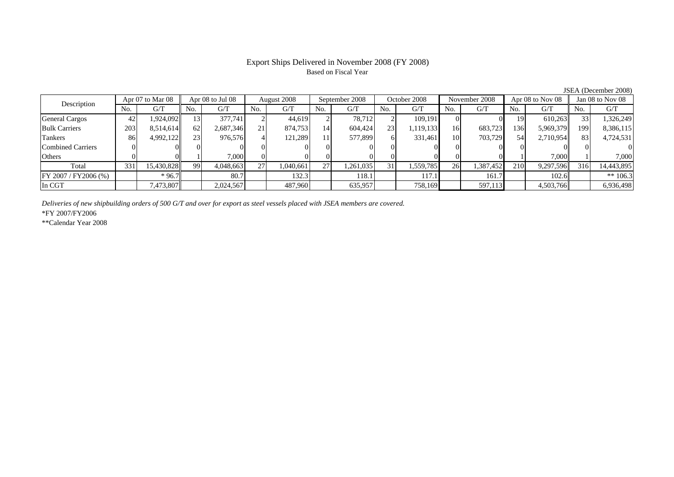# Export Ships Delivered in November 2008 (FY 2008) Based on Fiscal Year

JSEA (December 2008)

| Description              |     | Apr 07 to Mar 08 |                   | Apr 08 to Jul 08 |     | August 2008 |     | September 2008 |     | October 2008 |     | November 2008 |     | Apr 08 to Nov 08 |     | Jan 08 to Nov 08 |
|--------------------------|-----|------------------|-------------------|------------------|-----|-------------|-----|----------------|-----|--------------|-----|---------------|-----|------------------|-----|------------------|
|                          | No. | G/T              | No.               | G/T              | No. | G/T         | No. | G/T            | No. | G/T          | No. | G/T           | No. | G/T              | No. | G/T              |
| <b>General Cargos</b>    | 42  | 1.924.092        | $\lceil 3 \rceil$ | 377,741          |     | 44.619      |     | 78.712         |     | 109.191      |     |               | 19  | 610.263          | 33  | 1,326,249        |
| <b>Bulk Carriers</b>     | 203 | 8,514,614        | 62                | 2,687,346        |     | 874,753     | 14  | 604,424        | 23  | 1,119,133    | 16  | 683,7231      | 136 | 5,969,379        | 199 | 8,386,115        |
| Tankers                  | 86  | 4,992,122        | 23                | 976,576          |     | 121,289     |     | 577,899        | 61  | 331.461      | 10  | 703,729       | 54  | 2,710,954        | 83  | 4,724,531        |
| <b>Combined Carriers</b> |     |                  |                   |                  |     |             |     |                |     |              |     |               |     |                  |     |                  |
| Others                   |     |                  |                   | 7,000            |     |             |     |                |     |              |     |               |     | 7.000            |     | 7,000            |
| Total                    | 331 | 15,430,828       | 99                | 4,048,663        | 27  | 1,040,661   | 27  | 1,261,035      | 31  | 1,559,785    | 26  | 1,387,452     | 210 | 9,297,596        | 316 | 14,443,895       |
| FY 2007 / FY2006 (%)     |     | $*96.7$          |                   | 80.7             |     | 132.3       |     | 118.1          |     | 117.1        |     | 161.7         |     | 102.6            |     | ** $106.3$       |
| In CGT                   |     | 7,473,807        |                   | 2,024,567        |     | 487,960     |     | 635,957        |     | 758,169      |     | 597,113       |     | 4,503,766        |     | 6,936,498        |

*Deliveries of new shipbuilding orders of 500 G/T and over for export as steel vessels placed with JSEA members are covered.*

\*FY 2007/FY2006

\*\*Calendar Year 2008